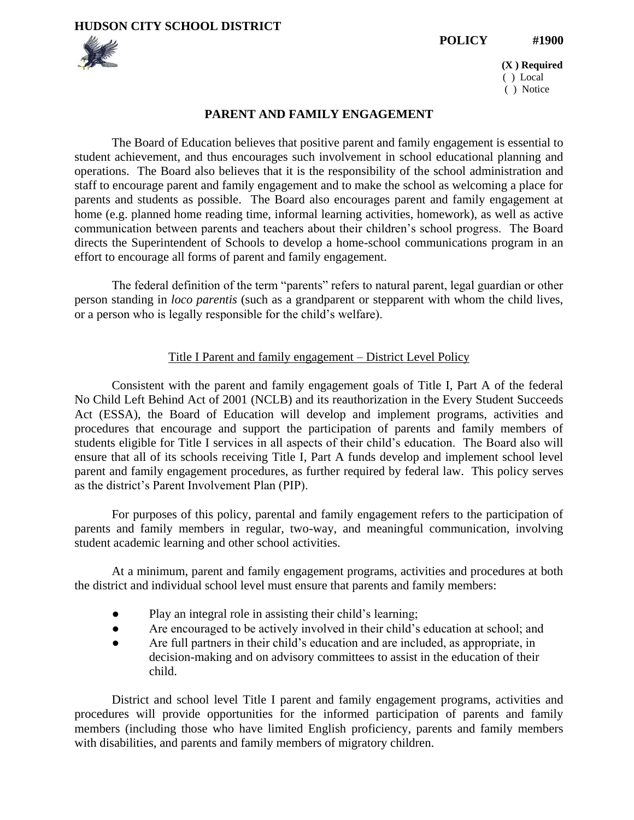**HUDSON CITY SCHOOL DISTRICT** 

**POLICY #1900**



 **(X ) Required**  ( ) Local ( ) Notice

### **PARENT AND FAMILY ENGAGEMENT**

The Board of Education believes that positive parent and family engagement is essential to student achievement, and thus encourages such involvement in school educational planning and operations. The Board also believes that it is the responsibility of the school administration and staff to encourage parent and family engagement and to make the school as welcoming a place for parents and students as possible. The Board also encourages parent and family engagement at home (e.g. planned home reading time, informal learning activities, homework), as well as active communication between parents and teachers about their children's school progress. The Board directs the Superintendent of Schools to develop a home-school communications program in an effort to encourage all forms of parent and family engagement.

The federal definition of the term "parents" refers to natural parent, legal guardian or other person standing in *loco parentis* (such as a grandparent or stepparent with whom the child lives, or a person who is legally responsible for the child's welfare).

#### Title I Parent and family engagement – District Level Policy

Consistent with the parent and family engagement goals of Title I, Part A of the federal No Child Left Behind Act of 2001 (NCLB) and its reauthorization in the Every Student Succeeds Act (ESSA), the Board of Education will develop and implement programs, activities and procedures that encourage and support the participation of parents and family members of students eligible for Title I services in all aspects of their child's education. The Board also will ensure that all of its schools receiving Title I, Part A funds develop and implement school level parent and family engagement procedures, as further required by federal law. This policy serves as the district's Parent Involvement Plan (PIP).

For purposes of this policy, parental and family engagement refers to the participation of parents and family members in regular, two-way, and meaningful communication, involving student academic learning and other school activities.

At a minimum, parent and family engagement programs, activities and procedures at both the district and individual school level must ensure that parents and family members:

- Play an integral role in assisting their child's learning;
- Are encouraged to be actively involved in their child's education at school; and
- Are full partners in their child's education and are included, as appropriate, in decision-making and on advisory committees to assist in the education of their child.

District and school level Title I parent and family engagement programs, activities and procedures will provide opportunities for the informed participation of parents and family members (including those who have limited English proficiency, parents and family members with disabilities, and parents and family members of migratory children.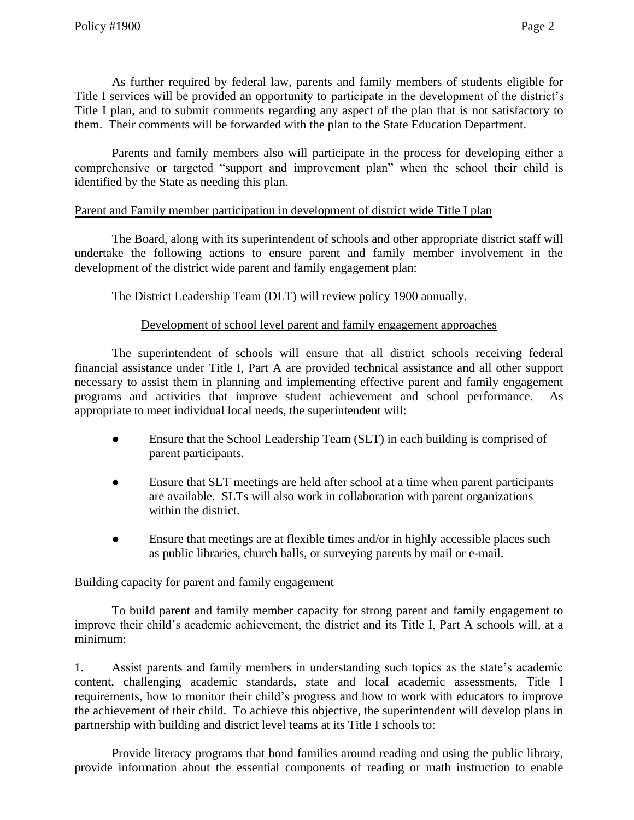As further required by federal law, parents and family members of students eligible for Title I services will be provided an opportunity to participate in the development of the district's Title I plan, and to submit comments regarding any aspect of the plan that is not satisfactory to them. Their comments will be forwarded with the plan to the State Education Department.

Parents and family members also will participate in the process for developing either a comprehensive or targeted "support and improvement plan" when the school their child is identified by the State as needing this plan.

# Parent and Family member participation in development of district wide Title I plan

The Board, along with its superintendent of schools and other appropriate district staff will undertake the following actions to ensure parent and family member involvement in the development of the district wide parent and family engagement plan:

The District Leadership Team (DLT) will review policy 1900 annually.

# Development of school level parent and family engagement approaches

The superintendent of schools will ensure that all district schools receiving federal financial assistance under Title I, Part A are provided technical assistance and all other support necessary to assist them in planning and implementing effective parent and family engagement programs and activities that improve student achievement and school performance. As appropriate to meet individual local needs, the superintendent will:

- Ensure that the School Leadership Team (SLT) in each building is comprised of parent participants.
- Ensure that SLT meetings are held after school at a time when parent participants are available. SLTs will also work in collaboration with parent organizations within the district.
- Ensure that meetings are at flexible times and/or in highly accessible places such as public libraries, church halls, or surveying parents by mail or e-mail.

## Building capacity for parent and family engagement

To build parent and family member capacity for strong parent and family engagement to improve their child's academic achievement, the district and its Title I, Part A schools will, at a minimum:

1. Assist parents and family members in understanding such topics as the state's academic content, challenging academic standards, state and local academic assessments, Title I requirements, how to monitor their child's progress and how to work with educators to improve the achievement of their child. To achieve this objective, the superintendent will develop plans in partnership with building and district level teams at its Title I schools to:

Provide literacy programs that bond families around reading and using the public library, provide information about the essential components of reading or math instruction to enable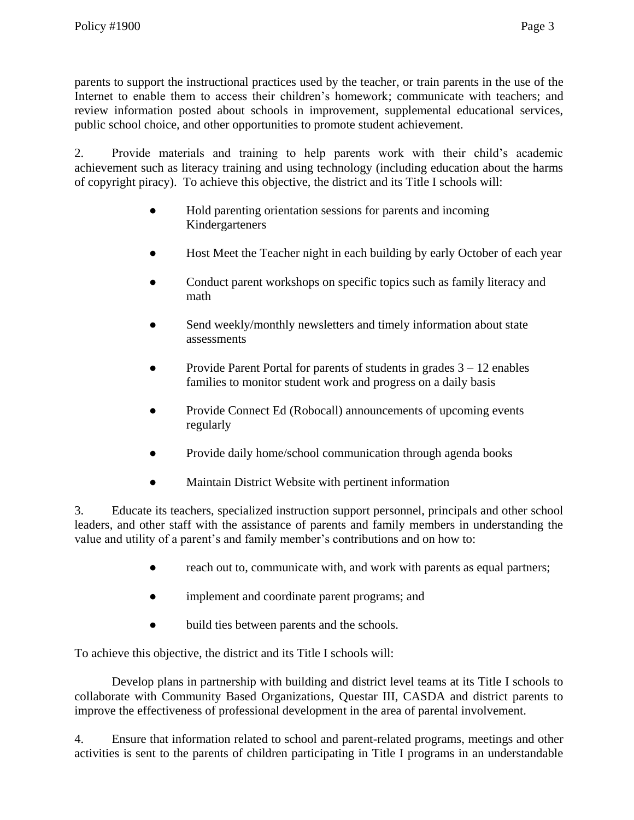parents to support the instructional practices used by the teacher, or train parents in the use of the Internet to enable them to access their children's homework; communicate with teachers; and review information posted about schools in improvement, supplemental educational services, public school choice, and other opportunities to promote student achievement.

2. Provide materials and training to help parents work with their child's academic achievement such as literacy training and using technology (including education about the harms of copyright piracy). To achieve this objective, the district and its Title I schools will:

- Hold parenting orientation sessions for parents and incoming Kindergarteners
- Host Meet the Teacher night in each building by early October of each year
- Conduct parent workshops on specific topics such as family literacy and math
- Send weekly/monthly newsletters and timely information about state assessments
- Provide Parent Portal for parents of students in grades  $3 12$  enables families to monitor student work and progress on a daily basis
- Provide Connect Ed (Robocall) announcements of upcoming events regularly
- Provide daily home/school communication through agenda books
- Maintain District Website with pertinent information

3. Educate its teachers, specialized instruction support personnel, principals and other school leaders, and other staff with the assistance of parents and family members in understanding the value and utility of a parent's and family member's contributions and on how to:

- reach out to, communicate with, and work with parents as equal partners;
- implement and coordinate parent programs; and
- build ties between parents and the schools.

To achieve this objective, the district and its Title I schools will:

Develop plans in partnership with building and district level teams at its Title I schools to collaborate with Community Based Organizations, Questar III, CASDA and district parents to improve the effectiveness of professional development in the area of parental involvement.

4. Ensure that information related to school and parent-related programs, meetings and other activities is sent to the parents of children participating in Title I programs in an understandable